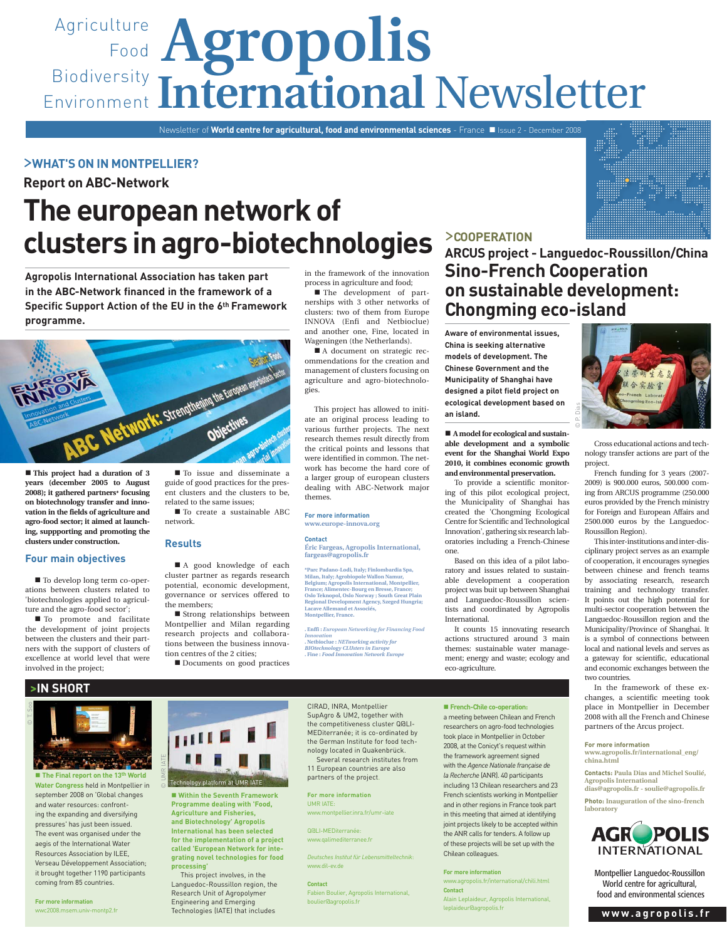# Agriculture **Agropolis** Food Biodiversity Environment International Newsletter

Newsletter of **World centre for agricultural, food and environmental sciences** - France **II** Issue 2 - December 2008

# >**WHAT'S ON IN MONTPELLIER?**

**Report on ABC-Network**

# **The european network of clusters in agro-biotechnologies**

**Agropolis International Association has taken part in the ABC-Network financed in the framework of a Specific Support Action of the EU in the 6th Framework programme.** 



 **This project had a duration of 3 years (december 2005 to August 2008); it gathered partners\* focusing on biotechnology transfer and innovation in the fields of agriculture and agro-food sector; it aimed at launching, suppporting and promoting the clusters under construction.** 

## **Four main objectives**

■ To develop long term co-operations between clusters related to 'biotechnologies applied to agriculture and the agro-food sector';

 $\blacksquare$  To promote and facilitate the development of joint projects between the clusters and their partners with the support of clusters of excellence at world level that were involved in the project;

 $\blacksquare$  To issue and disseminate a guide of good practices for the present clusters and the clusters to be, related to the same issues;

 $\blacksquare$  To create a sustainable ABC network.

#### **Results**

■ A good knowledge of each cluster partner as regards research potential, economic development, governance or services offered to the members;

■ Strong relationships between Montpellier and Milan regarding research projects and collaborations between the business innovation centres of the 2 cities;

■ Documents on good practices

in the framework of the innovation process in agriculture and food;

■ The development of partnerships with 3 other networks of clusters: two of them from Europe INNOVA (Enfi and Netbioclue) and another one, Fine, located in Wageningen (the Netherlands).

■ A document on strategic recommendations for the creation and management of clusters focusing on agriculture and agro-biotechnologies.

This project has allowed to initiate an original process leading to various further projects. The next research themes result directly from the critical points and lessons that were identified in common. The network has become the hard core of a larger group of european clusters dealing with ABC-Network major themes.

**For more information www.europe-innova.org** 

#### **Contact**

**Éric Fargeas, Agropolis International, fargeas@agropolis.fr** 

**\*Parc Padano-Lodi, Italy; Finlombardia Spa,**  Milan, Italy; Agrobiopole Wallon Namur,<br>Belgium; Agropolis International, Montpellier,<br>France; Alimentec-Bourg en Bresse, France;<br>Oslo Teknopol, Oslo Norway ; South Great Plain **Regional Development Agency, Szeged Hungria; Lacave Allemand et Associés, Montpellier, France.** 

**. Enffi :** *European Networking for Financing Food Innovation* **. Netbioclue :** *NETworking activity for BIOtechnology CLUsters in Europe* **. Fine :** *Food Innovation Network Europe*

# >**COOPERATION**

**ARCUS project - Languedoc-Roussillon/China Sino-French Cooperation on sustainable development: Chongming eco-island**

© P. Dias

**Aware of environmental issues, China is seeking alternative models of development. The Chinese Government and the Municipality of Shanghai have designed a pilot field project on ecological development based on an island.**

 **A model for ecological and sustainable development and a symbolic event for the Shanghai World Expo 2010, it combines economic growth and environmental preservation.**

To provide a scientific monitoring of this pilot ecological project, the Municipality of Shanghai has created the 'Chongming Ecological Centre for Scientific and Technological Innovation', gathering six research laboratories including a French-Chinese one.

Based on this idea of a pilot laboratory and issues related to sustainable development a cooperation project was buit up between Shanghai and Languedoc-Roussillon scientists and coordinated by Agropolis International.

It counts 15 innovating research actions structured around 3 main themes: sustainable water management; energy and waste; ecology and eco-agriculture.

 **French-Chile co-operation:** 

a meeting between Chilean and French researchers on agro-food technologies took place in Montpellier in October 2008, at the Conicyt's request within the framework agreement signed with the *Agence Nationale française de la Recherche* (ANR). 40 participants including 13 Chilean researchers and 23 French scientists working in Montpellier and in other regions in France took part in this meeting that aimed at identifying joint projects likely to be accepted within the ANR calls for tenders. A follow up of these projects will be set up with the Chilean colleagues.

#### **For more information**

www.agropolis.fr/international/chili.html **Contact**



Cross educational actions and technology transfer actions are part of the project.

French funding for 3 years (2007- 2009) is 900.000 euros, 500.000 coming from ARCUS programme (250.000 euros provided by the French ministry for Foreign and European Affairs and 2500.000 euros by the Languedoc-Roussillon Region).

This inter-institutions and inter-disciplinary project serves as an example of cooperation, it encourages synegies between chinese and french teams by associating research, research training and technology transfer. It points out the high potential for multi-sector cooperation between the Languedoc-Roussillon region and the Municipality/Province of Shanghai. It is a symbol of connections between local and national levels and serves as a gateway for scientific, educational and economic exchanges between the two countries.

In the framework of these exchanges, a scientific meeting took place in Montpellier in December 2008 with all the French and Chinese partners of the Arcus project.

**For more information www.agropolis.fr/international\_eng/ china.html**

**Contacts: Paula Dias and Michel Soulié, Agropolis International dias@agropolis.fr - soulie@agropolis.fr** 

**Photo: Inauguration of the sino-french laboratory**



Montpellier Languedoc-Roussillon World centre for agricultural, food and environmental sciences



■ The Final report on the 13<sup>th</sup> World **Water Congress** held in Montpellier in september 2008 on 'Global changes and water resources: confronting the expanding and diversifying pressures' has just been issued. The event was organised under the aegis of the International Water Resources Association by ILEE, Verseau Développement Association; it brought together 1190 participants coming from 85 countries.

**For more information**  wwc2008.msem.univ-montp2.fr



 $\blacksquare$  **Within the Seventh Fram Programme dealing with 'Food, Agriculture and Fisheries, and Biotechnology' Agropolis International has been selected for the implementation of a project called 'European Network for integrating novel technologies for food processing'** 

This project involves, in the Languedoc-Roussillon region, the Research Unit of Agropolymer Engineering and Emerging Technologies (IATE) that includes

CIRAD, INRA, Montpellier SupAgro & UM2, together with the competitiveness cluster Q@LI-MEDiterranée; it is co-ordinated by the German Institute for food technology located in Quakenbrück.

Several research institutes from 11 European countries are also partners of the project.

**For more information** UMR IATE:

www.montpellier.inra.fr/umr-iate

Q@LI-MEDiterranée: www.qalimediterranee.fr

*Deutsches Institut für Lebensmitteltechnik*: www.dil-ev.de

**Contact** Fabien Boulier, Agropolis International, boulier@agropolis.fr

Alain Leplaideur, Agropolis International, leplaideur@agropolis.fr